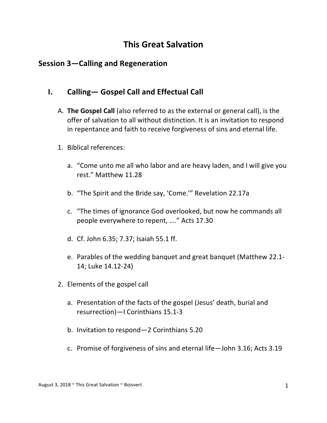## **This Great Salvation**

## **Session 3-Calling and Regeneration**

## **I. Calling— Gospel Call and Effectual Call**

- A. **The Gospel Call** (also referred to as the external or general call), is the offer of salvation to all without distinction. It is an invitation to respond in repentance and faith to receive forgiveness of sins and eternal life.
- 1. Biblical references:
	- a. "Come unto me all who labor and are heavy laden, and I will give you rest." Matthew 11.28
	- b. "The Spirit and the Bride say, 'Come.'" Revelation 22.17a
	- c. "The times of ignorance God overlooked, but now he commands all people everywhere to repent, ...." Acts 17.30
	- d. Cf. John 6.35; 7.37; Isaiah 55.1 ff.
	- e. Parables of the wedding banquet and great banquet (Matthew 22.1-14; Luke 14.12-24)
- 2. Elements of the gospel call
	- a. Presentation of the facts of the gospel (Jesus' death, burial and resurrection)-I Corinthians 15.1-3
	- b. Invitation to respond-2 Corinthians 5.20
	- c. Promise of forgiveness of sins and eternal life—John 3.16; Acts 3.19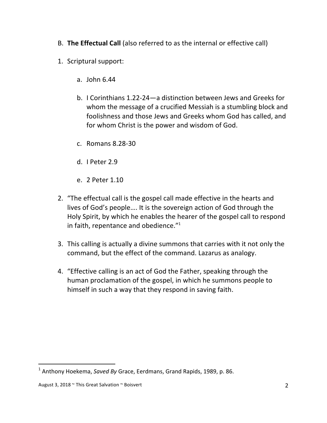- B. **The Effectual Call** (also referred to as the internal or effective call)
- 1. Scriptural support:
	- a. John 6.44
	- b. I Corinthians 1.22-24—a distinction between Jews and Greeks for whom the message of a crucified Messiah is a stumbling block and foolishness and those Jews and Greeks whom God has called, and for whom Christ is the power and wisdom of God.
	- c. Romans 8.28-30
	- d. I Peter 2.9
	- e. 2 Peter 1.10
- 2. "The effectual call is the gospel call made effective in the hearts and lives of God's people.... It is the sovereign action of God through the Holy Spirit, by which he enables the hearer of the gospel call to respond in faith, repentance and obedience."<sup>1</sup>
- 3. This calling is actually a divine summons that carries with it not only the command, but the effect of the command. Lazarus as analogy.
- 4. "Effective calling is an act of God the Father, speaking through the human proclamation of the gospel, in which he summons people to himself in such a way that they respond in saving faith.

 

<sup>&</sup>lt;sup>1</sup> Anthony Hoekema, *Saved By* Grace, Eerdmans, Grand Rapids, 1989, p. 86.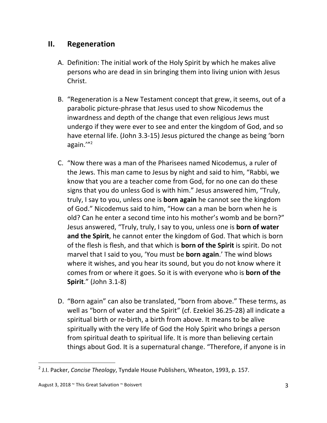## **II.** Regeneration

- A. Definition: The initial work of the Holy Spirit by which he makes alive persons who are dead in sin bringing them into living union with Jesus Christ.
- B. "Regeneration is a New Testament concept that grew, it seems, out of a parabolic picture-phrase that Jesus used to show Nicodemus the inwardness and depth of the change that even religious Jews must undergo if they were ever to see and enter the kingdom of God, and so have eternal life. (John 3.3-15) Jesus pictured the change as being 'born again.'"2
- C. "Now there was a man of the Pharisees named Nicodemus, a ruler of the Jews. This man came to Jesus by night and said to him, "Rabbi, we know that you are a teacher come from God, for no one can do these signs that you do unless God is with him." Jesus answered him, "Truly, truly, I say to you, unless one is **born again** he cannot see the kingdom of God." Nicodemus said to him, "How can a man be born when he is old? Can he enter a second time into his mother's womb and be born?" Jesus answered, "Truly, truly, I say to you, unless one is **born of water** and the Spirit, he cannot enter the kingdom of God. That which is born of the flesh is flesh, and that which is **born of the Spirit** is spirit. Do not marvel that I said to you, 'You must be **born again**.' The wind blows where it wishes, and you hear its sound, but you do not know where it comes from or where it goes. So it is with everyone who is **born of the Spirit."** (John 3.1-8)
- D. "Born again" can also be translated, "born from above." These terms, as well as "born of water and the Spirit" (cf. Ezekiel 36.25-28) all indicate a spiritual birth or re-birth, a birth from above. It means to be alive spiritually with the very life of God the Holy Spirit who brings a person from spiritual death to spiritual life. It is more than believing certain things about God. It is a supernatural change. "Therefore, if anyone is in

 

<sup>&</sup>lt;sup>2</sup> J.I. Packer, *Concise Theology*, Tyndale House Publishers, Wheaton, 1993, p. 157.